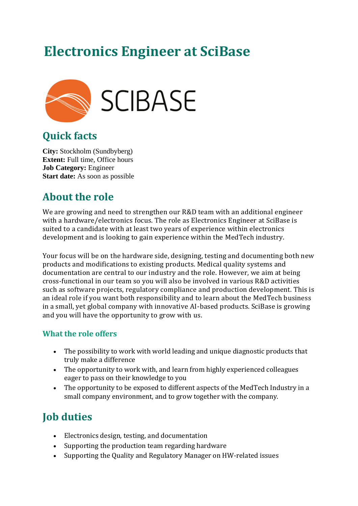# **Electronics Engineer at SciBase**



# **Quick facts**

**City:** Stockholm (Sundbyberg) **Extent:** Full time, Office hours **Job Category:** Engineer **Start date:** As soon as possible

# **About the role**

We are growing and need to strengthen our R&D team with an additional engineer with a hardware/electronics focus. The role as Electronics Engineer at SciBase is suited to a candidate with at least two years of experience within electronics development and is looking to gain experience within the MedTech industry.

Your focus will be on the hardware side, designing, testing and documenting both new products and modifications to existing products. Medical quality systems and documentation are central to our industry and the role. However, we aim at being cross-functional in our team so you will also be involved in various R&D activities such as software projects, regulatory compliance and production development. This is an ideal role if you want both responsibility and to learn about the MedTech business in a small, yet global company with innovative AI-based products. SciBase is growing and you will have the opportunity to grow with us.

### **What the role offers**

- The possibility to work with world leading and unique diagnostic products that truly make a difference
- The opportunity to work with, and learn from highly experienced colleagues eager to pass on their knowledge to you
- The opportunity to be exposed to different aspects of the MedTech Industry in a small company environment, and to grow together with the company.

# **Job duties**

- Electronics design, testing, and documentation
- Supporting the production team regarding hardware
- Supporting the Quality and Regulatory Manager on HW-related issues